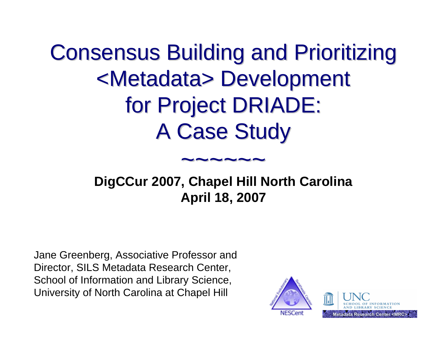**Consensus Building and Prioritizing** <Metadata> Development <Metadata> Development for Project DRIADE: A Case Study

#### $\sim\sim\sim\sim\sim\sim$

#### **DigCCur 2007, Chapel Hill North Carolina April 18, 2007**

Jane Greenberg, Associative Professor and Director, SILS Metadata Research Center, School of Information and Library Science, University of North Carolina at Chapel Hill

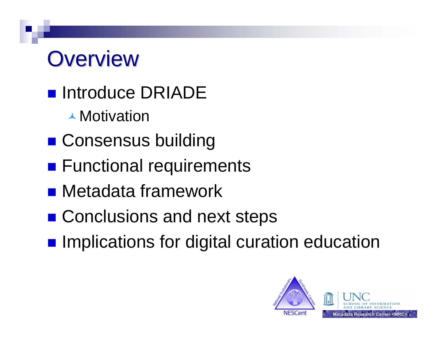## **Overview**

- **n** Introduce DRIADE
	- **▲ Motivation**
- **E** Consensus building
- **Functional requirements**
- **Retadata framework**
- Conclusions and next steps
- **Implications for digital curation education**

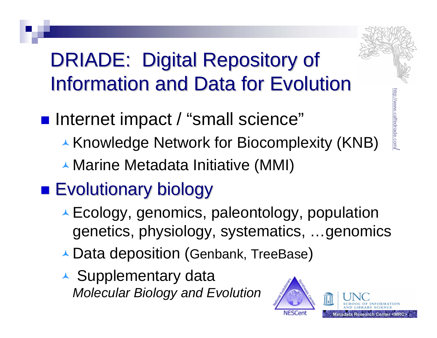

#### DRIADE: Digital Repository of **Information and Data for Evolution**

- Internet impact / "small science"
	- ▲ Knowledge Network for Biocomplexity (KNB)
	- ▲ Marine Metadata Initiative (MMI)

#### **Exolutionary biology**

- ▲ Ecology, genomics, paleontology, population genetics, physiology, systematics, …genomics
- ▲ Data deposition (Genbank, TreeBase)
- ▲ Supplementary data *Molecular Biology and Evolution*

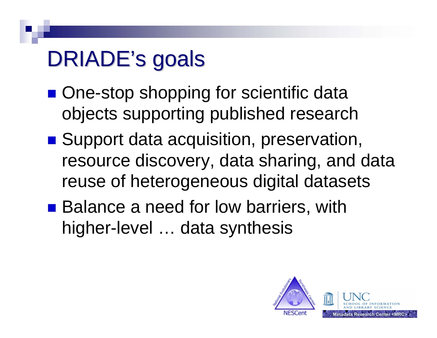## DRIADE's goals

- One-stop shopping for scientific data objects supporting published research
- Support data acquisition, preservation, resource discovery, data sharing, and data reuse of heterogeneous digital datasets
- Balance a need for low barriers, with higher-level … data synthesis

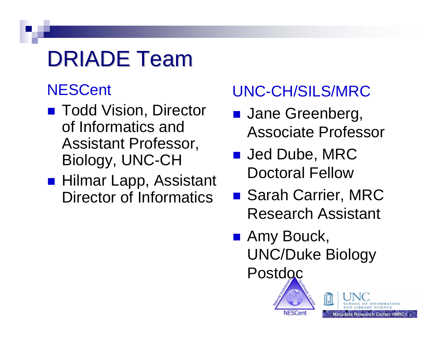## DRIADE Team

#### **NESCent**

- Todd Vision, Director of Informatics and Assistant Professor, Biology, UNC-CH
- Hilmar Lapp, Assistant Director of Informatics

#### UNC-CH/SILS/MRC

- **Jane Greenberg,** Associate Professor
- Jed Dube, MRC Doctoral Fellow
- Sarah Carrier, MRC Research Assistant
- Amy Bouck, UNC/Duke Biology Postdoc

ĨΠ

**Metadata Research Center <MRC>**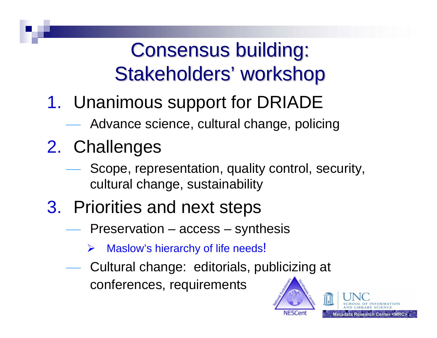#### Consensus building: Stakeholders' workshop

- 1. Unanimous support for DRIADE
	- Advance science, cultural change, policing
- 2. Challenges
	- Scope, representation, quality control, security, cultural change, sustainability
- 3. Priorities and next steps
	- Preservation access synthesis
		- ¾Maslow's hierarchy of life needs!
	- Cultural change: editorials, publicizing at conferences, requirements



earch Center <MRC>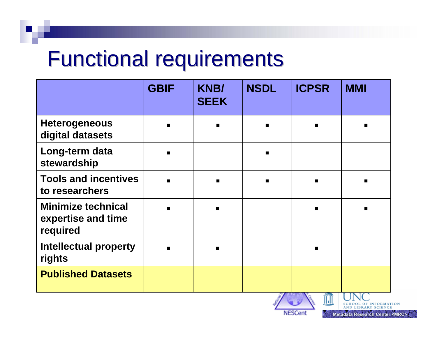## **Functional requirements**

|                                                             | <b>GBIF</b> | <b>KNB/</b><br><b>SEEK</b> | <b>NSDL</b>    | <b>ICPSR</b> | <b>MMI</b> |
|-------------------------------------------------------------|-------------|----------------------------|----------------|--------------|------------|
| <b>Heterogeneous</b><br>digital datasets                    |             | $\blacksquare$             | $\blacksquare$ |              |            |
| Long-term data<br>stewardship                               |             |                            | $\blacksquare$ |              |            |
| <b>Tools and incentives</b><br>to researchers               |             | $\blacksquare$             | $\blacksquare$ |              |            |
| <b>Minimize technical</b><br>expertise and time<br>required |             |                            |                |              |            |
| <b>Intellectual property</b><br>rights                      |             |                            |                |              |            |
| <b>Published Datasets</b>                                   |             |                            |                |              |            |
|                                                             |             |                            |                | Hall         |            |



**SCHOOL OF INFORMATION**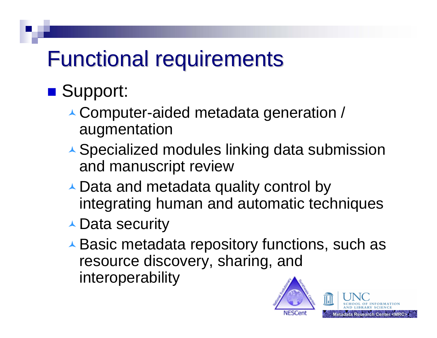## **Functional requirements**

#### ■ Support:

- Computer-aided metadata generation / augmentation
- ▲ Specialized modules linking data submission and manuscript review
- ★ Data and metadata quality control by integrating human and automatic techniques
- **▲ Data security**
- **★ Basic metadata repository functions, such as** resource discovery, sharing, and interoperability

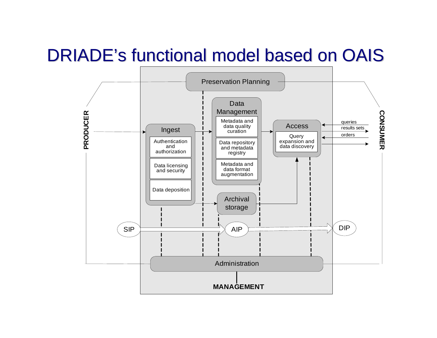#### DRIADE's functional model based on OAIS

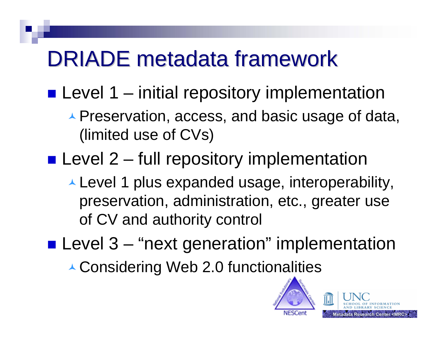## DRIADE metadata framework

**Level 1 – initial repository implementation** 

- ▲ Preservation, access, and basic usage of data, (limited use of CVs)
- **Level 2 full repository implementation** 
	- Level 1 plus expanded usage, interoperability, preservation, administration, etc., greater use of CV and authority control
- **Level 3 "next generation" implementation**

▲ Considering Web 2.0 functionalities

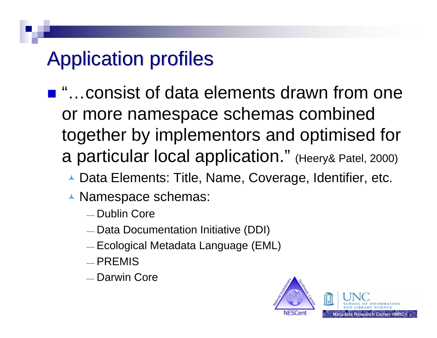#### Application profiles Application profiles

- "…consist of data elements drawn from one or more namespace schemas combined together by implementors and optimised for a particular local application." (Heery& Patel, 2000)
	- ▲ Data Elements: Title, Name, Coverage, Identifier, etc.
	- ▲ Namespace schemas:
		- ⎯ Dublin Core
		- $\_$  Data Documentation Initiative (DDI)
		- $\_$  Ecological Metadata Language (EML)
		- $\_$  PREMIS
		- $\_$  Darwin Core

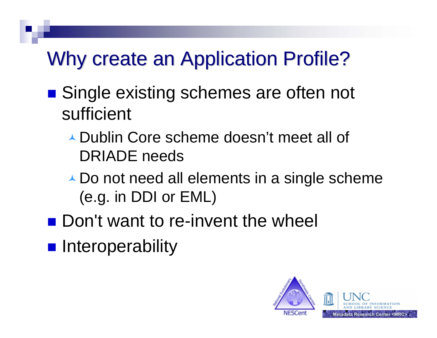#### Why create an Application Profile?

- Single existing schemes are often not sufficient
	- ▲ Dublin Core scheme doesn't meet all of DRIADE needs
	- ▲ Do not need all elements in a single scheme (e.g. in DDI or EML)
- **Don't want to re-invent the wheel**
- **n** Interoperability

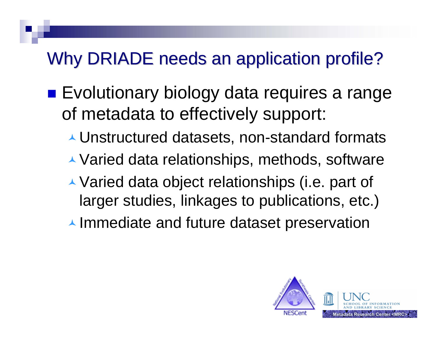#### Why DRIADE needs an application profile?

- **Exolutionary biology data requires a range** of metadata to effectively support:
	- Unstructured datasets, non-standard formats
	- ▲ Varied data relationships, methods, software
	- ▲ Varied data object relationships (i.e. part of larger studies, linkages to publications, etc.)
	- $\blacktriangle$  Immediate and future dataset preservation

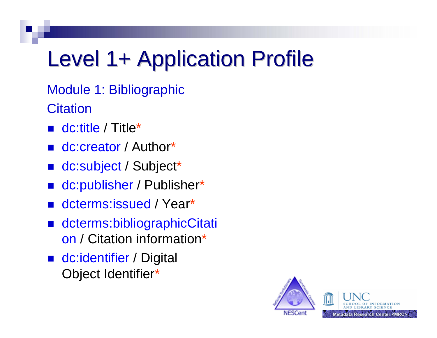# Level 1+ Application Profile

Module 1: Bibliographic **Citation** 

- dc:title / Title\*
- dc:creator / Author\*
- dc:subject / Subject\*
- $\mathbb{R}^3$ ■ dc:publisher / Publisher\*
- dcterms:issued / Year\*
- dcterms:bibliographicCitati on / Citation information\*
- dc:identifier / Digital Object Identifier \*

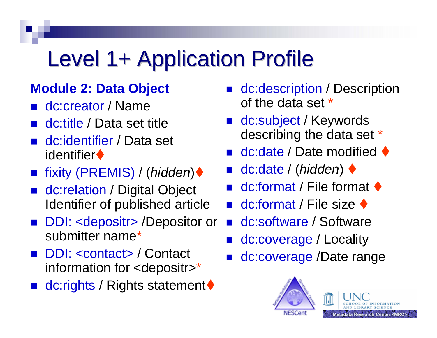# Level 1+ Application Profile

#### **Module 2: Data Object**

- dc:creator / Name
- dc:title / Data set title
- dc:identifier / Data set identifier**♦**
- $\mathbb{R}^3$ ■ fixity (PREMIS) / (*hidden*)◆
- dc:relation / Digital Object Identifier of published article
- $\mathbb{R}^3$  DDI: <depositr> /Depositor or submitter name\*
- $\mathbb{R}^3$  DDI: <contact> / Contact information for <depositr> \*
- $\mathbb{R}^2$ ■ dc:rights / Rights statement◆
- dc:description / Description of the data set \*
- dc:subject / Keywords describing the data set \*
- dc:date / Date modified ◆
- dc:date / (hidden) ◆
- $\blacksquare$  dc:format / File format  $\blacklozenge$
- **dc:format / File size**  $\blacklozenge$
- dc:software / Software
- dc:coverage / Locality
- $\mathbb{R}^2$ dc:coverage /Date range

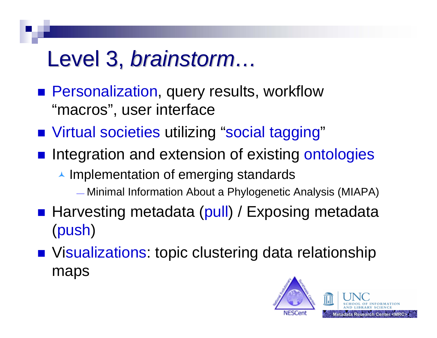## Level 3, *brainstorm…*

- **Personalization, query results, workflow** "macros", user interface
- Virtual societies utilizing "social tagging"
- **n** Integration and extension of existing ontologies
	- $\blacktriangle$  Implementation of emerging standards
		- ⎯ Minimal Information About a Phylogenetic Analysis (MIAPA)
- Harvesting metadata (pull) / Exposing metadata (push)
- Visualizations: topic clustering data relationship maps

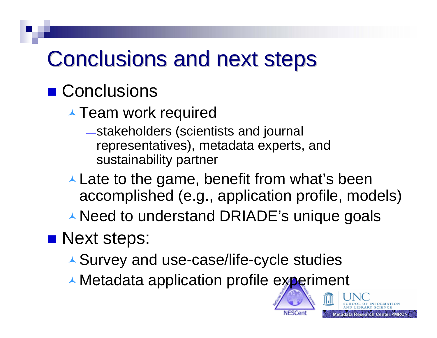## Conclusions and next steps

#### ■ Conclusions

- **Team work required** 
	- <sup>⎯</sup>stakeholders (scientists and journal representatives), metadata experts, and sustainability partner
- $\blacktriangle$  Late to the game, benefit from what's been accomplished (e.g., application profile, models)

earch Center <MRC>

▲ Need to understand DRIADE's unique goals

#### **Next steps:**

- Survey and use-case/life-cycle studies
- **▲ Metadata application profile experiment**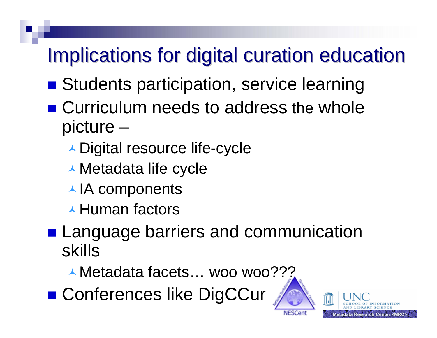#### Implications for digital curation education

- **Budents participation, service learning**
- Curriculum needs to address the whole picture –
	- ▲ Digital resource life-cycle
	- Metadata life cycle
	- ▲ IA components
	- ▲ Human factors
- **Language barriers and communication** skills
	- ▲ Metadata facets… woo woo???
- Conferences like DigCCur



**NESCent**